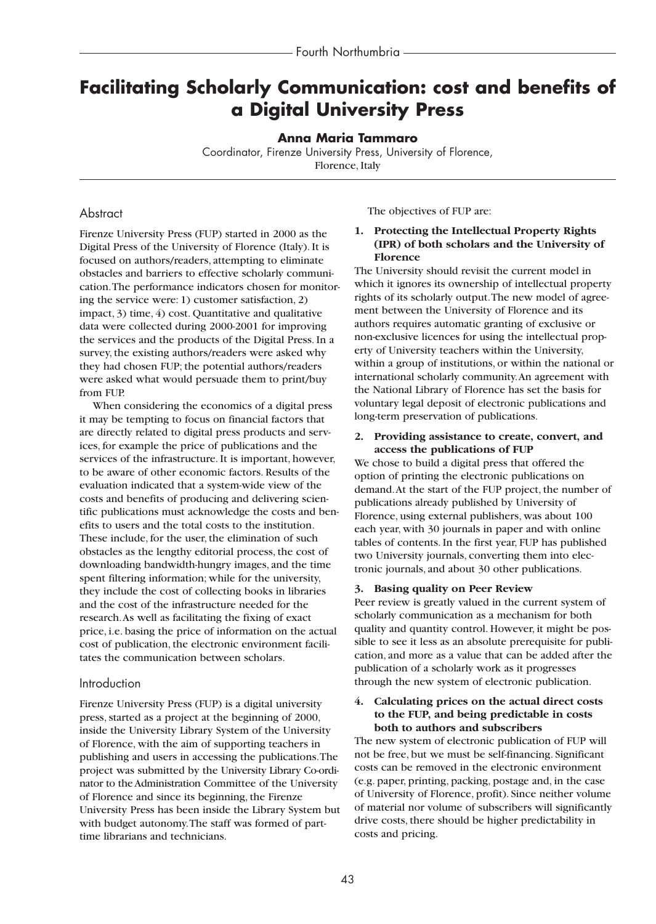# **Facilitating Scholarly Communication: cost and benefits of a Digital University Press**

**Anna Maria Tammaro**

Coordinator, Firenze University Press, University of Florence, Florence, Italy

# **Abstract**

Firenze University Press (FUP) started in 2000 as the Digital Press of the University of Florence (Italy). It is focused on authors/readers, attempting to eliminate obstacles and barriers to effective scholarly communication.The performance indicators chosen for monitoring the service were: 1) customer satisfaction, 2) impact, 3) time, 4) cost. Quantitative and qualitative data were collected during 2000-2001 for improving the services and the products of the Digital Press. In a survey, the existing authors/readers were asked why they had chosen FUP; the potential authors/readers were asked what would persuade them to print/buy from FUP.

When considering the economics of a digital press it may be tempting to focus on financial factors that are directly related to digital press products and services, for example the price of publications and the services of the infrastructure. It is important, however, to be aware of other economic factors. Results of the evaluation indicated that a system-wide view of the costs and benefits of producing and delivering scientific publications must acknowledge the costs and benefits to users and the total costs to the institution. These include, for the user, the elimination of such obstacles as the lengthy editorial process, the cost of downloading bandwidth-hungry images, and the time spent filtering information; while for the university, they include the cost of collecting books in libraries and the cost of the infrastructure needed for the research.As well as facilitating the fixing of exact price, i.e. basing the price of information on the actual cost of publication, the electronic environment facilitates the communication between scholars.

# Introduction

Firenze University Press (FUP) is a digital university press, started as a project at the beginning of 2000, inside the University Library System of the University of Florence, with the aim of supporting teachers in publishing and users in accessing the publications.The project was submitted by the University Library Co-ordinator to the Administration Committee of the University of Florence and since its beginning, the Firenze University Press has been inside the Library System but with budget autonomy.The staff was formed of parttime librarians and technicians.

The objectives of FUP are:

## **1. Protecting the Intellectual Property Rights (IPR) of both scholars and the University of Florence**

The University should revisit the current model in which it ignores its ownership of intellectual property rights of its scholarly output.The new model of agreement between the University of Florence and its authors requires automatic granting of exclusive or non-exclusive licences for using the intellectual property of University teachers within the University, within a group of institutions, or within the national or international scholarly community.An agreement with the National Library of Florence has set the basis for voluntary legal deposit of electronic publications and long-term preservation of publications.

## **2. Providing assistance to create, convert, and access the publications of FUP**

We chose to build a digital press that offered the option of printing the electronic publications on demand.At the start of the FUP project, the number of publications already published by University of Florence, using external publishers, was about 100 each year, with 30 journals in paper and with online tables of contents. In the first year, FUP has published two University journals, converting them into electronic journals, and about 30 other publications.

## **3. Basing quality on Peer Review**

Peer review is greatly valued in the current system of scholarly communication as a mechanism for both quality and quantity control. However, it might be possible to see it less as an absolute prerequisite for publication, and more as a value that can be added after the publication of a scholarly work as it progresses through the new system of electronic publication.

## **4. Calculating prices on the actual direct costs to the FUP, and being predictable in costs both to authors and subscribers**

The new system of electronic publication of FUP will not be free, but we must be self-financing. Significant costs can be removed in the electronic environment (e.g. paper, printing, packing, postage and, in the case of University of Florence, profit). Since neither volume of material nor volume of subscribers will significantly drive costs, there should be higher predictability in costs and pricing.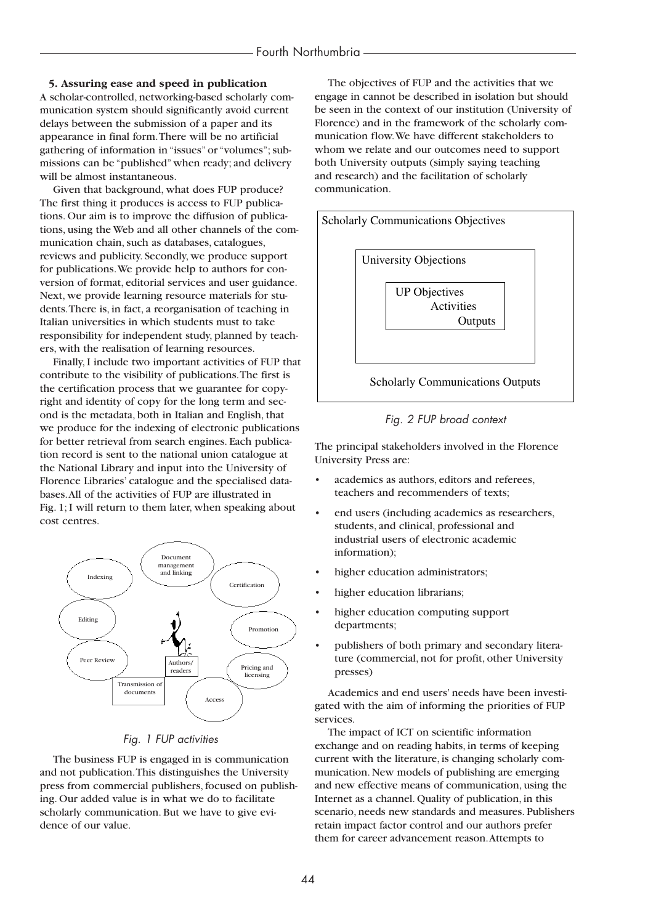# **5. Assuring ease and speed in publication**

A scholar-controlled, networking-based scholarly communication system should significantly avoid current delays between the submission of a paper and its appearance in final form.There will be no artificial gathering of information in "issues" or "volumes"; submissions can be "published" when ready; and delivery will be almost instantaneous.

Given that background, what does FUP produce? The first thing it produces is access to FUP publications. Our aim is to improve the diffusion of publications, using the Web and all other channels of the communication chain, such as databases, catalogues, reviews and publicity. Secondly, we produce support for publications.We provide help to authors for conversion of format, editorial services and user guidance. Next, we provide learning resource materials for students.There is, in fact, a reorganisation of teaching in Italian universities in which students must to take responsibility for independent study, planned by teachers, with the realisation of learning resources.

Finally, I include two important activities of FUP that contribute to the visibility of publications.The first is the certification process that we guarantee for copyright and identity of copy for the long term and second is the metadata, both in Italian and English, that we produce for the indexing of electronic publications for better retrieval from search engines. Each publication record is sent to the national union catalogue at the National Library and input into the University of Florence Libraries' catalogue and the specialised databases.All of the activities of FUP are illustrated in Fig. 1; I will return to them later, when speaking about cost centres.



## *Fig. 1 FUP activities*

The business FUP is engaged in is communication and not publication.This distinguishes the University press from commercial publishers, focused on publishing. Our added value is in what we do to facilitate scholarly communication. But we have to give evidence of our value.

The objectives of FUP and the activities that we engage in cannot be described in isolation but should be seen in the context of our institution (University of Florence) and in the framework of the scholarly communication flow.We have different stakeholders to whom we relate and our outcomes need to support both University outputs (simply saying teaching and research) and the facilitation of scholarly communication.



# *Fig. 2 FUP broad context*

The principal stakeholders involved in the Florence University Press are:

- academics as authors, editors and referees, teachers and recommenders of texts;
- end users (including academics as researchers, students, and clinical, professional and industrial users of electronic academic information);
- higher education administrators;
- higher education librarians;
- higher education computing support departments;
- publishers of both primary and secondary literature (commercial, not for profit, other University presses)

Academics and end users' needs have been investigated with the aim of informing the priorities of FUP services.

The impact of ICT on scientific information exchange and on reading habits, in terms of keeping current with the literature, is changing scholarly communication. New models of publishing are emerging and new effective means of communication, using the Internet as a channel. Quality of publication, in this scenario, needs new standards and measures. Publishers retain impact factor control and our authors prefer them for career advancement reason.Attempts to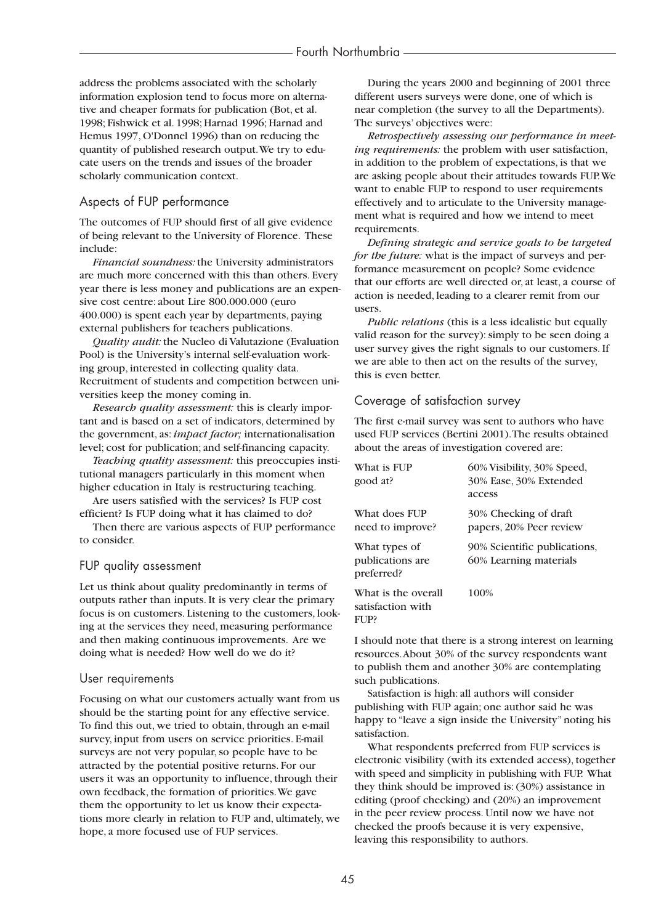address the problems associated with the scholarly information explosion tend to focus more on alternative and cheaper formats for publication (Bot, et al. 1998; Fishwick et al. 1998; Harnad 1996; Harnad and Hemus 1997, O'Donnel 1996) than on reducing the quantity of published research output.We try to educate users on the trends and issues of the broader scholarly communication context.

## Aspects of FUP performance

The outcomes of FUP should first of all give evidence of being relevant to the University of Florence. These include:

*Financial soundness:* the University administrators are much more concerned with this than others. Every year there is less money and publications are an expensive cost centre: about Lire 800.000.000 (euro 400.000) is spent each year by departments, paying external publishers for teachers publications.

*Quality audit:* the Nucleo di Valutazione (Evaluation Pool) is the University's internal self-evaluation working group, interested in collecting quality data. Recruitment of students and competition between universities keep the money coming in.

*Research quality assessment:* this is clearly important and is based on a set of indicators, determined by the government, as: *impact factor;* internationalisation level; cost for publication; and self-financing capacity.

*Teaching quality assessment:* this preoccupies institutional managers particularly in this moment when higher education in Italy is restructuring teaching.

Are users satisfied with the services? Is FUP cost efficient? Is FUP doing what it has claimed to do?

Then there are various aspects of FUP performance to consider.

## FUP quality assessment

Let us think about quality predominantly in terms of outputs rather than inputs. It is very clear the primary focus is on customers. Listening to the customers, looking at the services they need, measuring performance and then making continuous improvements. Are we doing what is needed? How well do we do it?

#### User requirements

Focusing on what our customers actually want from us should be the starting point for any effective service. To find this out, we tried to obtain, through an e-mail survey, input from users on service priorities. E-mail surveys are not very popular, so people have to be attracted by the potential positive returns. For our users it was an opportunity to influence, through their own feedback, the formation of priorities.We gave them the opportunity to let us know their expectations more clearly in relation to FUP and, ultimately, we hope, a more focused use of FUP services.

During the years 2000 and beginning of 2001 three different users surveys were done, one of which is near completion (the survey to all the Departments). The surveys' objectives were:

*Retrospectively assessing our performance in meeting requirements:* the problem with user satisfaction, in addition to the problem of expectations, is that we are asking people about their attitudes towards FUP.We want to enable FUP to respond to user requirements effectively and to articulate to the University management what is required and how we intend to meet requirements.

*Defining strategic and service goals to be targeted for the future:* what is the impact of surveys and performance measurement on people? Some evidence that our efforts are well directed or, at least, a course of action is needed, leading to a clearer remit from our users.

*Public relations* (this is a less idealistic but equally valid reason for the survey): simply to be seen doing a user survey gives the right signals to our customers. If we are able to then act on the results of the survey, this is even better.

# Coverage of satisfaction survey

The first e-mail survey was sent to authors who have used FUP services (Bertini 2001).The results obtained about the areas of investigation covered are:

| What is FUP<br>good at?                          | 60% Visibility, 30% Speed,<br>30% Ease, 30% Extended<br>access |
|--------------------------------------------------|----------------------------------------------------------------|
| What does FUP<br>need to improve?                | 30% Checking of draft<br>papers, 20% Peer review               |
| What types of<br>publications are<br>preferred?  | 90% Scientific publications,<br>60% Learning materials         |
| What is the overall<br>satisfaction with<br>FUP? | 100%                                                           |

I should note that there is a strong interest on learning resources.About 30% of the survey respondents want to publish them and another 30% are contemplating such publications.

Satisfaction is high: all authors will consider publishing with FUP again; one author said he was happy to "leave a sign inside the University" noting his satisfaction.

What respondents preferred from FUP services is electronic visibility (with its extended access), together with speed and simplicity in publishing with FUP. What they think should be improved is: (30%) assistance in editing (proof checking) and (20%) an improvement in the peer review process. Until now we have not checked the proofs because it is very expensive, leaving this responsibility to authors.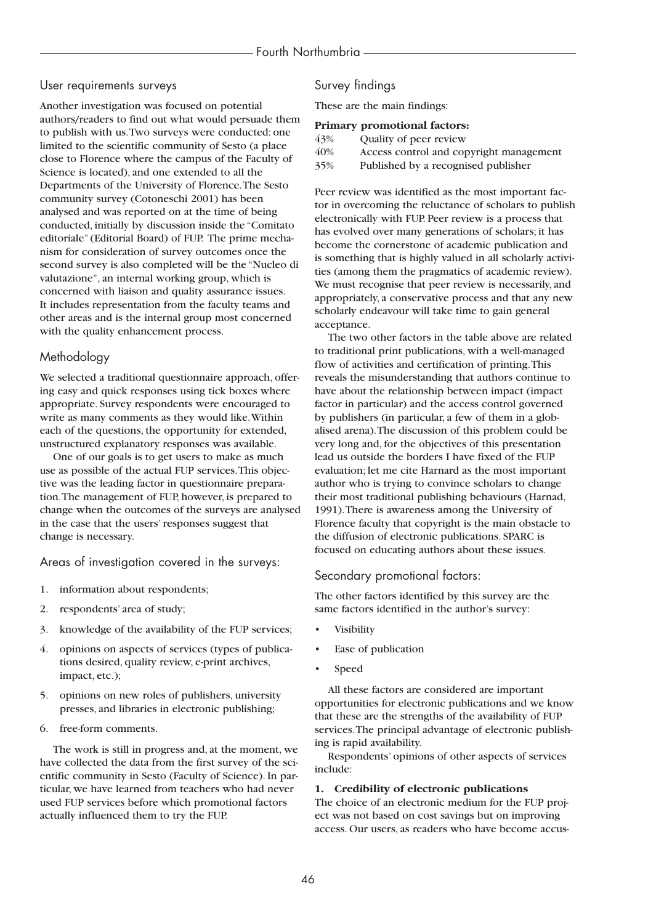## User requirements surveys

Another investigation was focused on potential authors/readers to find out what would persuade them to publish with us.Two surveys were conducted: one limited to the scientific community of Sesto (a place close to Florence where the campus of the Faculty of Science is located), and one extended to all the Departments of the University of Florence.The Sesto community survey (Cotoneschi 2001) has been analysed and was reported on at the time of being conducted, initially by discussion inside the "Comitato editoriale" (Editorial Board) of FUP. The prime mechanism for consideration of survey outcomes once the second survey is also completed will be the "Nucleo di valutazione", an internal working group, which is concerned with liaison and quality assurance issues. It includes representation from the faculty teams and other areas and is the internal group most concerned with the quality enhancement process.

# Methodology

We selected a traditional questionnaire approach, offering easy and quick responses using tick boxes where appropriate. Survey respondents were encouraged to write as many comments as they would like.Within each of the questions, the opportunity for extended, unstructured explanatory responses was available.

One of our goals is to get users to make as much use as possible of the actual FUP services.This objective was the leading factor in questionnaire preparation.The management of FUP, however, is prepared to change when the outcomes of the surveys are analysed in the case that the users' responses suggest that change is necessary.

Areas of investigation covered in the surveys:

- 1. information about respondents;
- 2. respondents' area of study;
- 3. knowledge of the availability of the FUP services;
- 4. opinions on aspects of services (types of publications desired, quality review, e-print archives, impact, etc.);
- 5. opinions on new roles of publishers, university presses, and libraries in electronic publishing;
- 6. free-form comments.

The work is still in progress and, at the moment, we have collected the data from the first survey of the scientific community in Sesto (Faculty of Science). In particular, we have learned from teachers who had never used FUP services before which promotional factors actually influenced them to try the FUP.

# Survey findings

These are the main findings:

#### **Primary promotional factors:**

| 43% | Quality of peer review                  |
|-----|-----------------------------------------|
| 40% | Access control and copyright management |
| 35% | Published by a recognised publisher     |
|     |                                         |

Peer review was identified as the most important factor in overcoming the reluctance of scholars to publish electronically with FUP. Peer review is a process that has evolved over many generations of scholars; it has become the cornerstone of academic publication and is something that is highly valued in all scholarly activities (among them the pragmatics of academic review). We must recognise that peer review is necessarily, and appropriately, a conservative process and that any new scholarly endeavour will take time to gain general acceptance.

The two other factors in the table above are related to traditional print publications, with a well-managed flow of activities and certification of printing.This reveals the misunderstanding that authors continue to have about the relationship between impact (impact factor in particular) and the access control governed by publishers (in particular, a few of them in a globalised arena).The discussion of this problem could be very long and, for the objectives of this presentation lead us outside the borders I have fixed of the FUP evaluation; let me cite Harnard as the most important author who is trying to convince scholars to change their most traditional publishing behaviours (Harnad, 1991).There is awareness among the University of Florence faculty that copyright is the main obstacle to the diffusion of electronic publications. SPARC is focused on educating authors about these issues.

# Secondary promotional factors:

The other factors identified by this survey are the same factors identified in the author's survey:

- **Visibility**
- Ease of publication
- Speed

All these factors are considered are important opportunities for electronic publications and we know that these are the strengths of the availability of FUP services.The principal advantage of electronic publishing is rapid availability.

Respondents' opinions of other aspects of services include:

## **1. Credibility of electronic publications**

The choice of an electronic medium for the FUP project was not based on cost savings but on improving access. Our users, as readers who have become accus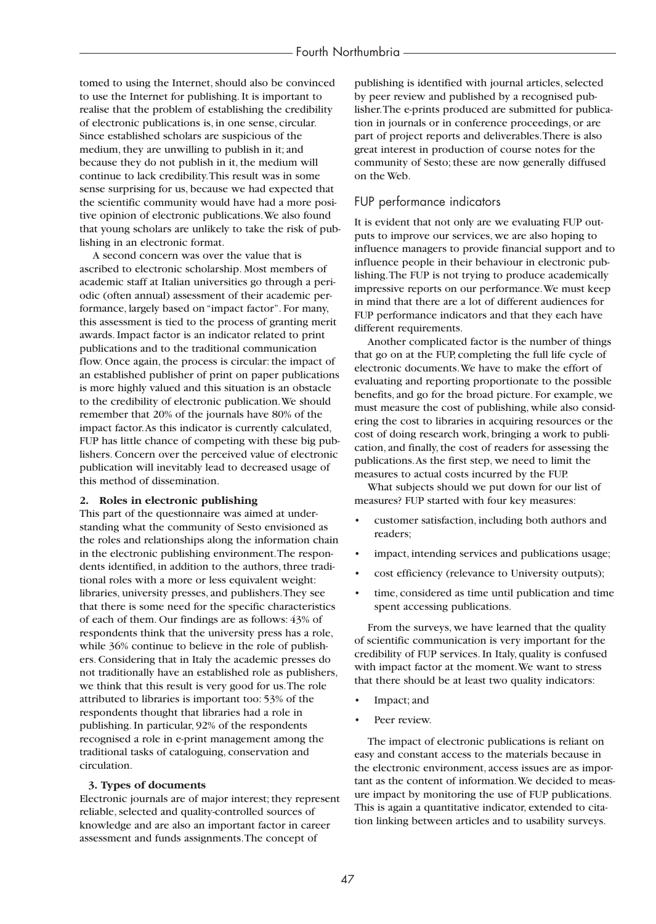tomed to using the Internet, should also be convinced to use the Internet for publishing. It is important to realise that the problem of establishing the credibility of electronic publications is, in one sense, circular. Since established scholars are suspicious of the medium, they are unwilling to publish in it; and because they do not publish in it, the medium will continue to lack credibility.This result was in some sense surprising for us, because we had expected that the scientific community would have had a more positive opinion of electronic publications.We also found that young scholars are unlikely to take the risk of publishing in an electronic format.

A second concern was over the value that is ascribed to electronic scholarship. Most members of academic staff at Italian universities go through a periodic (often annual) assessment of their academic performance, largely based on "impact factor". For many, this assessment is tied to the process of granting merit awards. Impact factor is an indicator related to print publications and to the traditional communication flow. Once again, the process is circular: the impact of an established publisher of print on paper publications is more highly valued and this situation is an obstacle to the credibility of electronic publication.We should remember that 20% of the journals have 80% of the impact factor.As this indicator is currently calculated, FUP has little chance of competing with these big publishers. Concern over the perceived value of electronic publication will inevitably lead to decreased usage of this method of dissemination.

#### **2. Roles in electronic publishing**

This part of the questionnaire was aimed at understanding what the community of Sesto envisioned as the roles and relationships along the information chain in the electronic publishing environment.The respondents identified, in addition to the authors, three traditional roles with a more or less equivalent weight: libraries, university presses, and publishers.They see that there is some need for the specific characteristics of each of them. Our findings are as follows: 43% of respondents think that the university press has a role, while 36% continue to believe in the role of publishers. Considering that in Italy the academic presses do not traditionally have an established role as publishers, we think that this result is very good for us.The role attributed to libraries is important too: 53% of the respondents thought that libraries had a role in publishing. In particular, 92% of the respondents recognised a role in e-print management among the traditional tasks of cataloguing, conservation and circulation.

#### **3. Types of documents**

Electronic journals are of major interest; they represent reliable, selected and quality-controlled sources of knowledge and are also an important factor in career assessment and funds assignments.The concept of

publishing is identified with journal articles, selected by peer review and published by a recognised publisher.The e-prints produced are submitted for publication in journals or in conference proceedings, or are part of project reports and deliverables.There is also great interest in production of course notes for the community of Sesto; these are now generally diffused on the Web.

## FUP performance indicators

It is evident that not only are we evaluating FUP outputs to improve our services, we are also hoping to influence managers to provide financial support and to influence people in their behaviour in electronic publishing.The FUP is not trying to produce academically impressive reports on our performance.We must keep in mind that there are a lot of different audiences for FUP performance indicators and that they each have different requirements.

Another complicated factor is the number of things that go on at the FUP, completing the full life cycle of electronic documents.We have to make the effort of evaluating and reporting proportionate to the possible benefits, and go for the broad picture. For example, we must measure the cost of publishing, while also considering the cost to libraries in acquiring resources or the cost of doing research work, bringing a work to publication, and finally, the cost of readers for assessing the publications.As the first step, we need to limit the measures to actual costs incurred by the FUP.

What subjects should we put down for our list of measures? FUP started with four key measures:

- customer satisfaction, including both authors and readers;
- impact, intending services and publications usage;
- cost efficiency (relevance to University outputs);
- time, considered as time until publication and time spent accessing publications.

From the surveys, we have learned that the quality of scientific communication is very important for the credibility of FUP services. In Italy, quality is confused with impact factor at the moment.We want to stress that there should be at least two quality indicators:

- Impact; and
- Peer review.

The impact of electronic publications is reliant on easy and constant access to the materials because in the electronic environment, access issues are as important as the content of information.We decided to measure impact by monitoring the use of FUP publications. This is again a quantitative indicator, extended to citation linking between articles and to usability surveys.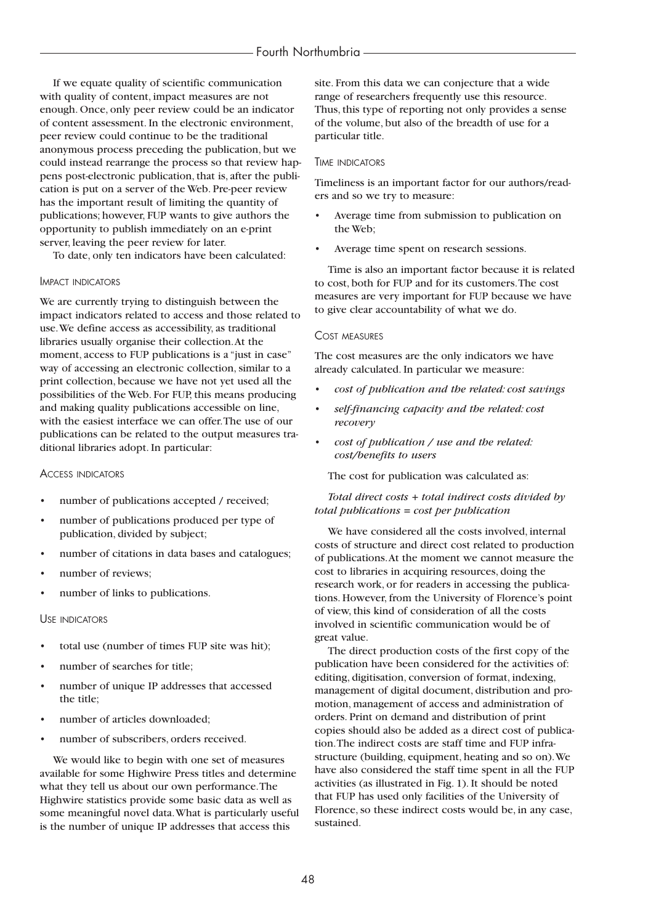If we equate quality of scientific communication with quality of content, impact measures are not enough. Once, only peer review could be an indicator of content assessment. In the electronic environment, peer review could continue to be the traditional anonymous process preceding the publication, but we could instead rearrange the process so that review happens post-electronic publication, that is, after the publication is put on a server of the Web. Pre-peer review has the important result of limiting the quantity of publications; however, FUP wants to give authors the opportunity to publish immediately on an e-print server, leaving the peer review for later.

To date, only ten indicators have been calculated:

## IMPACT INDICATORS

We are currently trying to distinguish between the impact indicators related to access and those related to use.We define access as accessibility, as traditional libraries usually organise their collection.At the moment, access to FUP publications is a "just in case" way of accessing an electronic collection, similar to a print collection, because we have not yet used all the possibilities of the Web. For FUP, this means producing and making quality publications accessible on line, with the easiest interface we can offer.The use of our publications can be related to the output measures traditional libraries adopt. In particular:

#### ACCESS INDICATORS

- number of publications accepted / received;
- number of publications produced per type of publication, divided by subject;
- number of citations in data bases and catalogues;
- number of reviews:
- number of links to publications.

#### USE INDICATORS

- total use (number of times FUP site was hit);
- number of searches for title;
- number of unique IP addresses that accessed the title;
- number of articles downloaded;
- number of subscribers, orders received.

We would like to begin with one set of measures available for some Highwire Press titles and determine what they tell us about our own performance.The Highwire statistics provide some basic data as well as some meaningful novel data.What is particularly useful is the number of unique IP addresses that access this

site. From this data we can conjecture that a wide range of researchers frequently use this resource. Thus, this type of reporting not only provides a sense of the volume, but also of the breadth of use for a particular title.

#### TIME INDICATORS

Timeliness is an important factor for our authors/readers and so we try to measure:

- Average time from submission to publication on the Web;
- Average time spent on research sessions.

Time is also an important factor because it is related to cost, both for FUP and for its customers.The cost measures are very important for FUP because we have to give clear accountability of what we do.

#### COST MEASURES

The cost measures are the only indicators we have already calculated. In particular we measure:

- *cost of publication and the related: cost savings*
- *self-financing capacity and the related: cost recovery*
- *cost of publication / use and the related: cost/benefits to users*

The cost for publication was calculated as:

#### *Total direct costs + total indirect costs divided by total publications = cost per publication*

We have considered all the costs involved, internal costs of structure and direct cost related to production of publications.At the moment we cannot measure the cost to libraries in acquiring resources, doing the research work, or for readers in accessing the publications. However, from the University of Florence's point of view, this kind of consideration of all the costs involved in scientific communication would be of great value.

The direct production costs of the first copy of the publication have been considered for the activities of: editing, digitisation, conversion of format, indexing, management of digital document, distribution and promotion, management of access and administration of orders. Print on demand and distribution of print copies should also be added as a direct cost of publication.The indirect costs are staff time and FUP infrastructure (building, equipment, heating and so on).We have also considered the staff time spent in all the FUP activities (as illustrated in Fig. 1). It should be noted that FUP has used only facilities of the University of Florence, so these indirect costs would be, in any case, sustained.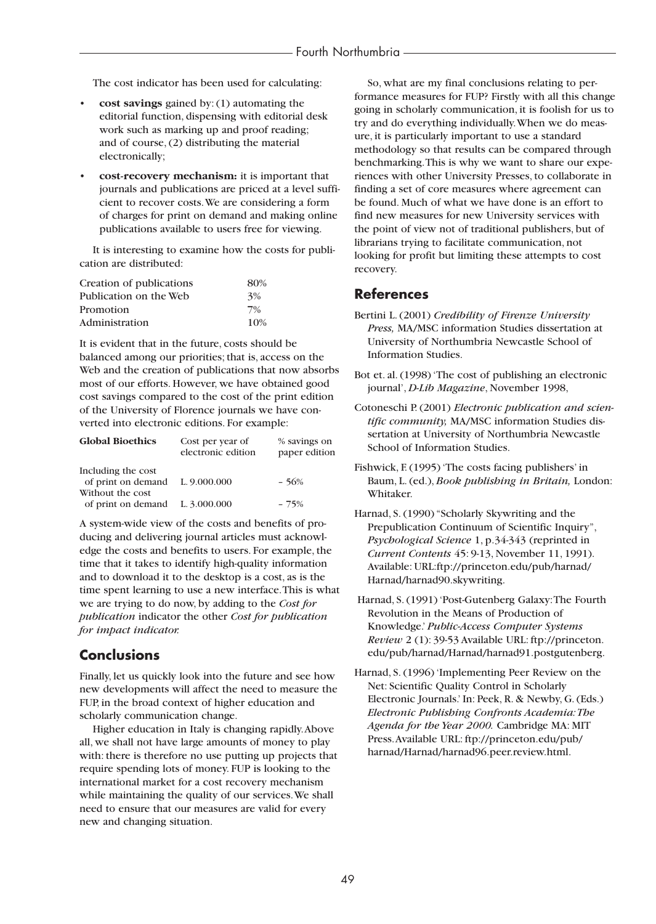The cost indicator has been used for calculating:

- **cost savings** gained by: (1) automating the editorial function, dispensing with editorial desk work such as marking up and proof reading; and of course, (2) distributing the material electronically;
- **cost-recovery mechanism:** it is important that journals and publications are priced at a level sufficient to recover costs.We are considering a form of charges for print on demand and making online publications available to users free for viewing.

It is interesting to examine how the costs for publication are distributed:

| Creation of publications | 80% |
|--------------------------|-----|
| Publication on the Web   | 3%  |
| Promotion                | 7%  |
| Administration           | 10% |

It is evident that in the future, costs should be balanced among our priorities; that is, access on the Web and the creation of publications that now absorbs most of our efforts. However, we have obtained good cost savings compared to the cost of the print edition of the University of Florence journals we have converted into electronic editions. For example:

| <b>Global Bioethics</b>                             | Cost per year of<br>electronic edition | % savings on<br>paper edition |
|-----------------------------------------------------|----------------------------------------|-------------------------------|
| Including the cost                                  |                                        |                               |
| of print on demand L. 9.000.000<br>Without the cost |                                        | $-56%$                        |
| of print on demand $L. 3.000.000$                   |                                        | $-75%$                        |

A system-wide view of the costs and benefits of producing and delivering journal articles must acknowledge the costs and benefits to users. For example, the time that it takes to identify high-quality information and to download it to the desktop is a cost, as is the time spent learning to use a new interface.This is what we are trying to do now, by adding to the *Cost for publication* indicator the other *Cost for publication for impact indicator.*

# **Conclusions**

Finally, let us quickly look into the future and see how new developments will affect the need to measure the FUP, in the broad context of higher education and scholarly communication change.

Higher education in Italy is changing rapidly.Above all, we shall not have large amounts of money to play with: there is therefore no use putting up projects that require spending lots of money. FUP is looking to the international market for a cost recovery mechanism while maintaining the quality of our services.We shall need to ensure that our measures are valid for every new and changing situation.

So, what are my final conclusions relating to performance measures for FUP? Firstly with all this change going in scholarly communication, it is foolish for us to try and do everything individually.When we do measure, it is particularly important to use a standard methodology so that results can be compared through benchmarking.This is why we want to share our experiences with other University Presses, to collaborate in finding a set of core measures where agreement can be found. Much of what we have done is an effort to find new measures for new University services with the point of view not of traditional publishers, but of librarians trying to facilitate communication, not looking for profit but limiting these attempts to cost recovery.

# **References**

- Bertini L. (2001) *Credibility of Firenze University Press,* MA/MSC information Studies dissertation at University of Northumbria Newcastle School of Information Studies.
- Bot et. al. (1998) 'The cost of publishing an electronic journal', *D-Lib Magazine*, November 1998,
- Cotoneschi P. (2001) *Electronic publication and scientific community,* MA/MSC information Studies dissertation at University of Northumbria Newcastle School of Information Studies.
- Fishwick, F. (1995) 'The costs facing publishers' in Baum, L. (ed.), *Book publishing in Britain,* London: Whitaker.
- Harnad, S. (1990) "Scholarly Skywriting and the Prepublication Continuum of Scientific Inquiry", *Psychological Science* 1, p.34-343 (reprinted in *Current Contents* 45: 9-13, November 11, 1991). Available: URL:ftp://princeton.edu/pub/harnad/ Harnad/harnad90.skywriting.
- Harnad, S. (1991) 'Post-Gutenberg Galaxy:The Fourth Revolution in the Means of Production of Knowledge.' *Public-Access Computer Systems Review* 2 (1): 39-53 Available URL: ftp://princeton. edu/pub/harnad/Harnad/harnad91.postgutenberg.
- Harnad, S. (1996) 'Implementing Peer Review on the Net: Scientific Quality Control in Scholarly Electronic Journals.' In: Peek, R. & Newby, G. (Eds.) *Electronic Publishing Confronts Academia:The Agenda for the Year 2000.* Cambridge MA: MIT Press.Available URL: ftp://princeton.edu/pub/ harnad/Harnad/harnad96.peer.review.html.